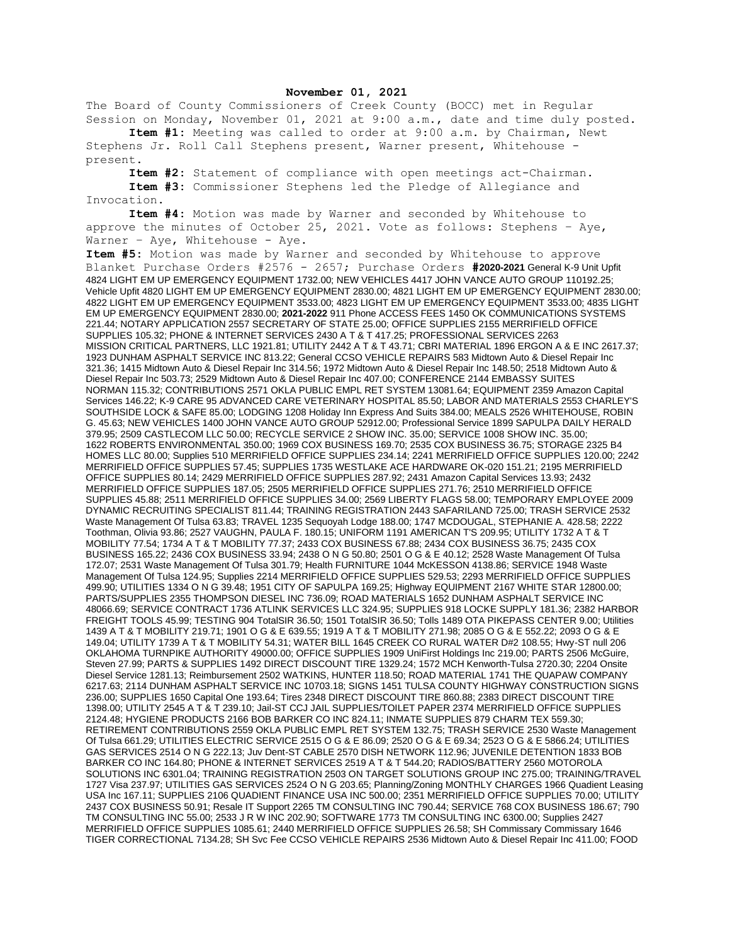## **November 01, 2021**

The Board of County Commissioners of Creek County (BOCC) met in Regular Session on Monday, November 01, 2021 at 9:00 a.m., date and time duly posted.

**Item #1:** Meeting was called to order at 9:00 a.m. by Chairman, Newt Stephens Jr. Roll Call Stephens present, Warner present, Whitehouse present.

**Item #2:** Statement of compliance with open meetings act-Chairman.

**Item #3:** Commissioner Stephens led the Pledge of Allegiance and Invocation.

**Item #4:** Motion was made by Warner and seconded by Whitehouse to approve the minutes of October 25, 2021. Vote as follows: Stephens – Aye, Warner - Aye, Whitehouse - Aye.

**Item #5:** Motion was made by Warner and seconded by Whitehouse to approve Blanket Purchase Orders #2576 - 2657; Purchase Orders **#2020-2021** General K-9 Unit Upfit 4824 LIGHT EM UP EMERGENCY EQUIPMENT 1732.00; NEW VEHICLES 4417 JOHN VANCE AUTO GROUP 110192.25; Vehicle Upfit 4820 LIGHT EM UP EMERGENCY EQUIPMENT 2830.00; 4821 LIGHT EM UP EMERGENCY EQUIPMENT 2830.00; 4822 LIGHT EM UP EMERGENCY EQUIPMENT 3533.00; 4823 LIGHT EM UP EMERGENCY EQUIPMENT 3533.00; 4835 LIGHT EM UP EMERGENCY EQUIPMENT 2830.00; **2021-2022** 911 Phone ACCESS FEES 1450 OK COMMUNICATIONS SYSTEMS 221.44; NOTARY APPLICATION 2557 SECRETARY OF STATE 25.00; OFFICE SUPPLIES 2155 MERRIFIELD OFFICE SUPPLIES 105.32; PHONE & INTERNET SERVICES 2430 A T & T 417.25; PROFESSIONAL SERVICES 2263 MISSION CRITICAL PARTNERS, LLC 1921.81; UTILITY 2442 A T & T 43.71; CBRI MATERIAL 1896 ERGON A & E INC 2617.37; 1923 DUNHAM ASPHALT SERVICE INC 813.22; General CCSO VEHICLE REPAIRS 583 Midtown Auto & Diesel Repair Inc 321.36; 1415 Midtown Auto & Diesel Repair Inc 314.56; 1972 Midtown Auto & Diesel Repair Inc 148.50; 2518 Midtown Auto & Diesel Repair Inc 503.73; 2529 Midtown Auto & Diesel Repair Inc 407.00; CONFERENCE 2144 EMBASSY SUITES NORMAN 115.32; CONTRIBUTIONS 2571 OKLA PUBLIC EMPL RET SYSTEM 13081.64; EQUIPMENT 2359 Amazon Capital Services 146.22; K-9 CARE 95 ADVANCED CARE VETERINARY HOSPITAL 85.50; LABOR AND MATERIALS 2553 CHARLEY'S SOUTHSIDE LOCK & SAFE 85.00; LODGING 1208 Holiday Inn Express And Suits 384.00; MEALS 2526 WHITEHOUSE, ROBIN G. 45.63; NEW VEHICLES 1400 JOHN VANCE AUTO GROUP 52912.00; Professional Service 1899 SAPULPA DAILY HERALD 379.95; 2509 CASTLECOM LLC 50.00; RECYCLE SERVICE 2 SHOW INC. 35.00; SERVICE 1008 SHOW INC. 35.00; 1622 ROBERTS ENVIRONMENTAL 350.00; 1969 COX BUSINESS 169.70; 2535 COX BUSINESS 36.75; STORAGE 2325 B4 HOMES LLC 80.00; Supplies 510 MERRIFIELD OFFICE SUPPLIES 234.14; 2241 MERRIFIELD OFFICE SUPPLIES 120.00; 2242 MERRIFIELD OFFICE SUPPLIES 57.45; SUPPLIES 1735 WESTLAKE ACE HARDWARE OK-020 151.21; 2195 MERRIFIELD OFFICE SUPPLIES 80.14; 2429 MERRIFIELD OFFICE SUPPLIES 287.92; 2431 Amazon Capital Services 13.93; 2432 MERRIFIELD OFFICE SUPPLIES 187.05; 2505 MERRIFIELD OFFICE SUPPLIES 271.76; 2510 MERRIFIELD OFFICE SUPPLIES 45.88; 2511 MERRIFIELD OFFICE SUPPLIES 34.00; 2569 LIBERTY FLAGS 58.00; TEMPORARY EMPLOYEE 2009 DYNAMIC RECRUITING SPECIALIST 811.44; TRAINING REGISTRATION 2443 SAFARILAND 725.00; TRASH SERVICE 2532 Waste Management Of Tulsa 63.83; TRAVEL 1235 Sequoyah Lodge 188.00; 1747 MCDOUGAL, STEPHANIE A. 428.58; 2222 Toothman, Olivia 93.86; 2527 VAUGHN, PAULA F. 180.15; UNIFORM 1191 AMERICAN T'S 209.95; UTILITY 1732 A T & T MOBILITY 77.54; 1734 A T & T MOBILITY 77.37; 2433 COX BUSINESS 67.88; 2434 COX BUSINESS 36.75; 2435 COX BUSINESS 165.22; 2436 COX BUSINESS 33.94; 2438 O N G 50.80; 2501 O G & E 40.12; 2528 Waste Management Of Tulsa 172.07; 2531 Waste Management Of Tulsa 301.79; Health FURNITURE 1044 McKESSON 4138.86; SERVICE 1948 Waste Management Of Tulsa 124.95; Supplies 2214 MERRIFIELD OFFICE SUPPLIES 529.53; 2293 MERRIFIELD OFFICE SUPPLIES 499.90; UTILITIES 1334 O N G 39.48; 1951 CITY OF SAPULPA 169.25; Highway EQUIPMENT 2167 WHITE STAR 12800.00; PARTS/SUPPLIES 2355 THOMPSON DIESEL INC 736.09; ROAD MATERIALS 1652 DUNHAM ASPHALT SERVICE INC 48066.69; SERVICE CONTRACT 1736 ATLINK SERVICES LLC 324.95; SUPPLIES 918 LOCKE SUPPLY 181.36; 2382 HARBOR FREIGHT TOOLS 45.99; TESTING 904 TotalSIR 36.50; 1501 TotalSIR 36.50; Tolls 1489 OTA PIKEPASS CENTER 9.00; Utilities 1439 A T & T MOBILITY 219.71; 1901 O G & E 639.55; 1919 A T & T MOBILITY 271.98; 2085 O G & E 552.22; 2093 O G & E 149.04; UTILITY 1739 A T & T MOBILITY 54.31; WATER BILL 1645 CREEK CO RURAL WATER D#2 108.55; Hwy-ST null 206 OKLAHOMA TURNPIKE AUTHORITY 49000.00; OFFICE SUPPLIES 1909 UniFirst Holdings Inc 219.00; PARTS 2506 McGuire, Steven 27.99; PARTS & SUPPLIES 1492 DIRECT DISCOUNT TIRE 1329.24; 1572 MCH Kenworth-Tulsa 2720.30; 2204 Onsite Diesel Service 1281.13; Reimbursement 2502 WATKINS, HUNTER 118.50; ROAD MATERIAL 1741 THE QUAPAW COMPANY 6217.63; 2114 DUNHAM ASPHALT SERVICE INC 10703.18; SIGNS 1451 TULSA COUNTY HIGHWAY CONSTRUCTION SIGNS 236.00; SUPPLIES 1650 Capital One 193.64; Tires 2348 DIRECT DISCOUNT TIRE 860.88; 2383 DIRECT DISCOUNT TIRE 1398.00; UTILITY 2545 A T & T 239.10; Jail-ST CCJ JAIL SUPPLIES/TOILET PAPER 2374 MERRIFIELD OFFICE SUPPLIES 2124.48; HYGIENE PRODUCTS 2166 BOB BARKER CO INC 824.11; INMATE SUPPLIES 879 CHARM TEX 559.30; RETIREMENT CONTRIBUTIONS 2559 OKLA PUBLIC EMPL RET SYSTEM 132.75; TRASH SERVICE 2530 Waste Management Of Tulsa 661.29; UTILITIES ELECTRIC SERVICE 2515 O G & E 86.09; 2520 O G & E 69.34; 2523 O G & E 5866.24; UTILITIES GAS SERVICES 2514 O N G 222.13; Juv Dent-ST CABLE 2570 DISH NETWORK 112.96; JUVENILE DETENTION 1833 BOB BARKER CO INC 164.80; PHONE & INTERNET SERVICES 2519 A T & T 544.20; RADIOS/BATTERY 2560 MOTOROLA SOLUTIONS INC 6301.04; TRAINING REGISTRATION 2503 ON TARGET SOLUTIONS GROUP INC 275.00; TRAINING/TRAVEL 1727 Visa 237.97; UTILITIES GAS SERVICES 2524 O N G 203.65; Planning/Zoning MONTHLY CHARGES 1966 Quadient Leasing USA Inc 167.11; SUPPLIES 2106 QUADIENT FINANCE USA INC 500.00; 2351 MERRIFIELD OFFICE SUPPLIES 70.00; UTILITY 2437 COX BUSINESS 50.91; Resale IT Support 2265 TM CONSULTING INC 790.44; SERVICE 768 COX BUSINESS 186.67; 790 TM CONSULTING INC 55.00; 2533 J R W INC 202.90; SOFTWARE 1773 TM CONSULTING INC 6300.00; Supplies 2427 MERRIFIELD OFFICE SUPPLIES 1085.61; 2440 MERRIFIELD OFFICE SUPPLIES 26.58; SH Commissary Commissary 1646 TIGER CORRECTIONAL 7134.28; SH Svc Fee CCSO VEHICLE REPAIRS 2536 Midtown Auto & Diesel Repair Inc 411.00; FOOD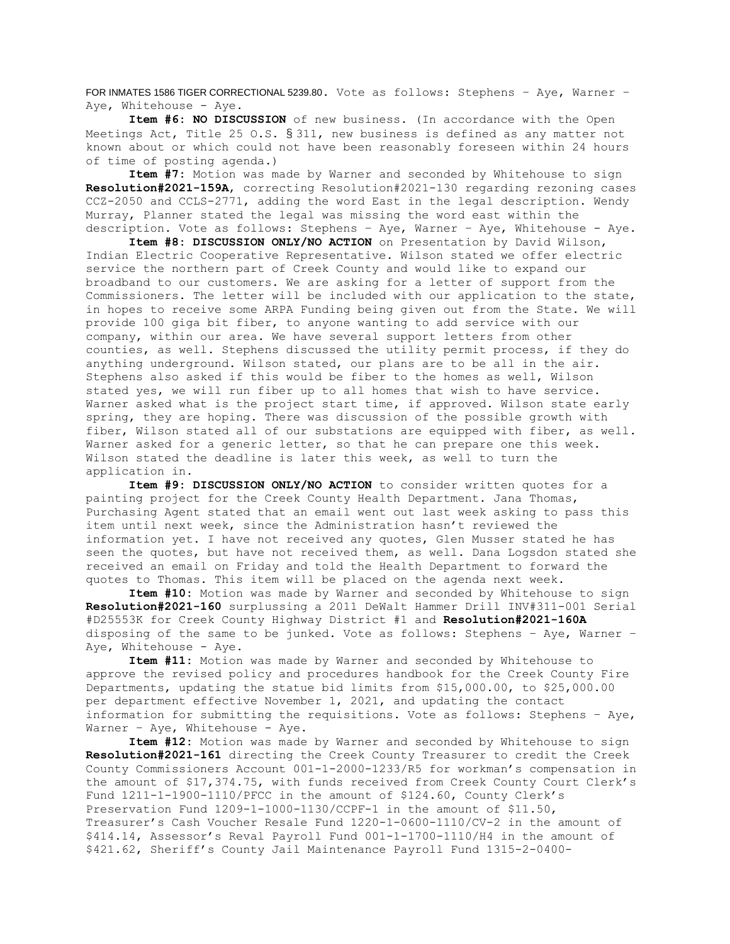FOR INMATES 1586 TIGER CORRECTIONAL 5239.80. Vote as follows: Stephens - Aye, Warner -Aye, Whitehouse - Aye.

**Item #6: NO DISCUSSION** of new business. (In accordance with the Open Meetings Act, Title 25 O.S. § 311, new business is defined as any matter not known about or which could not have been reasonably foreseen within 24 hours of time of posting agenda.)

**Item #7:** Motion was made by Warner and seconded by Whitehouse to sign **Resolution#2021-159A**, correcting Resolution#2021-130 regarding rezoning cases CCZ-2050 and CCLS-2771, adding the word East in the legal description. Wendy Murray, Planner stated the legal was missing the word east within the description. Vote as follows: Stephens – Aye, Warner – Aye, Whitehouse - Aye.

**Item #8: DISCUSSION ONLY/NO ACTION** on Presentation by David Wilson, Indian Electric Cooperative Representative. Wilson stated we offer electric service the northern part of Creek County and would like to expand our broadband to our customers. We are asking for a letter of support from the Commissioners. The letter will be included with our application to the state, in hopes to receive some ARPA Funding being given out from the State. We will provide 100 giga bit fiber, to anyone wanting to add service with our company, within our area. We have several support letters from other counties, as well. Stephens discussed the utility permit process, if they do anything underground. Wilson stated, our plans are to be all in the air. Stephens also asked if this would be fiber to the homes as well, Wilson stated yes, we will run fiber up to all homes that wish to have service. Warner asked what is the project start time, if approved. Wilson state early spring, they are hoping. There was discussion of the possible growth with fiber, Wilson stated all of our substations are equipped with fiber, as well. Warner asked for a generic letter, so that he can prepare one this week. Wilson stated the deadline is later this week, as well to turn the application in.

**Item #9: DISCUSSION ONLY/NO ACTION** to consider written quotes for a painting project for the Creek County Health Department. Jana Thomas, Purchasing Agent stated that an email went out last week asking to pass this item until next week, since the Administration hasn't reviewed the information yet. I have not received any quotes, Glen Musser stated he has seen the quotes, but have not received them, as well. Dana Logsdon stated she received an email on Friday and told the Health Department to forward the quotes to Thomas. This item will be placed on the agenda next week.

**Item #10:** Motion was made by Warner and seconded by Whitehouse to sign **Resolution#2021-160** surplussing a 2011 DeWalt Hammer Drill INV#311-001 Serial #D25553K for Creek County Highway District #1 and **Resolution#2021-160A** disposing of the same to be junked. Vote as follows: Stephens – Aye, Warner – Aye, Whitehouse - Aye.

**Item #11:** Motion was made by Warner and seconded by Whitehouse to approve the revised policy and procedures handbook for the Creek County Fire Departments, updating the statue bid limits from \$15,000.00, to \$25,000.00 per department effective November 1, 2021, and updating the contact information for submitting the requisitions. Vote as follows: Stephens – Aye, Warner - Aye, Whitehouse - Aye.

**Item #12:** Motion was made by Warner and seconded by Whitehouse to sign **Resolution#2021-161** directing the Creek County Treasurer to credit the Creek County Commissioners Account 001-1-2000-1233/R5 for workman's compensation in the amount of \$17,374.75, with funds received from Creek County Court Clerk's Fund 1211-1-1900-1110/PFCC in the amount of \$124.60, County Clerk's Preservation Fund 1209-1-1000-1130/CCPF-1 in the amount of \$11.50, Treasurer's Cash Voucher Resale Fund 1220-1-0600-1110/CV-2 in the amount of \$414.14, Assessor's Reval Payroll Fund 001-1-1700-1110/H4 in the amount of \$421.62, Sheriff's County Jail Maintenance Payroll Fund 1315-2-0400